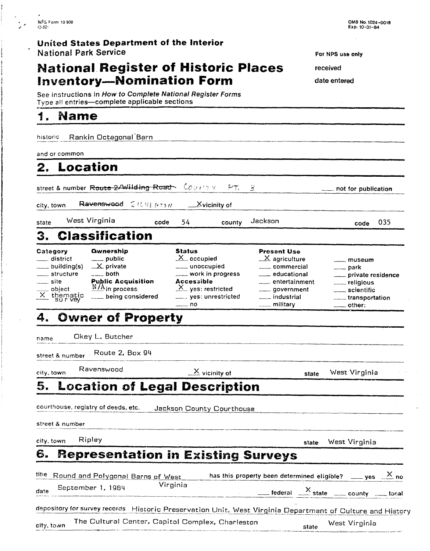#### **United States Department of the Interior National Park Service For NPS** use only **For NPS** use only

## **National Register of Historic Places** received **Inventory-Nomination Form date entered**

OMB NO. **1024-0018 Exp. 10-31-84** 

- --

See instructions in How to Complete National Register Forms Type all entries-complete applicable sections

#### 1. Name

historic Rankin Octagonal Barn

and or common

and or common<br>**2.** Location

2. Location<br>street & number Route 2/Wilding Road  $\sqrt{2\pi}$  ,  $\frac{2\pi}{3}$  not for publication

city, town Ravenswood  $\leq t \wedge v_{k,P} \tau_{M}$   $\leq$  Xvicinity of

state West Virginia code 54 county Jackson code **035** 

**3. Classification** 

| Category<br>___ district<br>___ building(s)<br>____ structure<br>site<br>$\frac{1}{\sqrt{2}}$ object<br>$\frac{1}{\sqrt{2}}$ thematic | <b>Ownership</b><br>$\equiv$ public<br>$\mathbf{X}$ private<br>$\frac{1}{2}$ both<br><b>Public Acquisition</b><br>$\frac{N}{A}$ in process<br>being considered | <b>Status</b><br>$X$ occupied<br>_____ unoccupied<br>____ work in progress<br><b>Accessible</b><br>$X$ yes: restricted<br>yes: unrestricted<br>$-$ no | <b>Present Use</b><br>$X$ agriculture<br>_____ commercial<br>___ educational<br>entertainment<br>____ government<br>___ industrial<br>$\frac{1}{2}$ military | <u>__</u> _ museum<br>$\rightharpoonup$ park<br>private residence<br>__ religious<br>scientific<br>____ transportation<br>$\rule{1em}{0.15mm}$ other: |
|---------------------------------------------------------------------------------------------------------------------------------------|----------------------------------------------------------------------------------------------------------------------------------------------------------------|-------------------------------------------------------------------------------------------------------------------------------------------------------|--------------------------------------------------------------------------------------------------------------------------------------------------------------|-------------------------------------------------------------------------------------------------------------------------------------------------------|

#### 4. **Owner of Property**

name Okey L. Butcher

street & number - Route 2, Box 94

 $\frac{1}{100}$  Ravenswood  $\frac{1}{100}$  vicinity of state West Virginia

# **5. Location of Legal Description**  Formal Courthouse, registry of deeds, etc. **Jackson County Courthouse**

courthouse, registry of deeds, etc. street & number -- - . -- -

## **6. Representation in Existing Surveys**

|      | $\mathcal{L}$ and $\alpha$ in the set |                   |                                                    |                                                                                                           |  |
|------|---------------------------------------|-------------------|----------------------------------------------------|-----------------------------------------------------------------------------------------------------------|--|
|      | city, town                            | Ripley            |                                                    | West Virginia<br>state                                                                                    |  |
| 6.   |                                       |                   |                                                    | <b>Representation in Existing Surveys</b>                                                                 |  |
|      |                                       |                   | <sup>titie</sup> Round and Polygonal Barns of West | has this property been determined eligible? _____ yes $\frac{X}{X}$ no                                    |  |
| date |                                       | September 1, 1984 | Virginia                                           | $\frac{X}{X}$ state $\frac{X}{X}$ state county $\frac{X}{X}$ local                                        |  |
|      |                                       |                   |                                                    | depository for survey records Historic Preservation Unit, West Virginia Department of Culture and History |  |
|      | city, town                            |                   | The Cultural Center. Capitol Complex. Charleston   | West Virginia<br>state                                                                                    |  |
|      |                                       |                   |                                                    |                                                                                                           |  |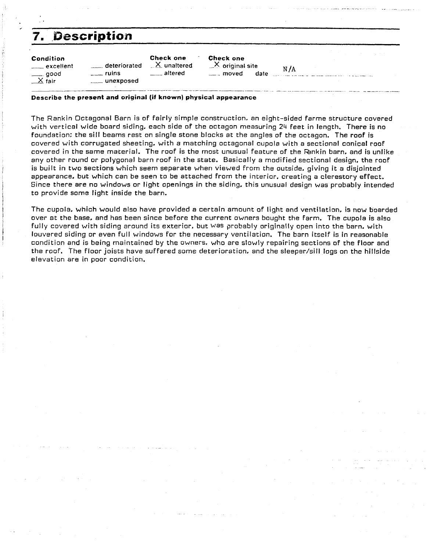## **7, Description**

| Condition                 |                                     | Check one                     | Check one                               |      |
|---------------------------|-------------------------------------|-------------------------------|-----------------------------------------|------|
| excellent                 | deteriorated<br>$\frac{1}{2}$ ruins | $\times$ unaltered<br>altered | $X$ original site<br>____ moved<br>date | N /A |
| $\frac{1}{\sqrt{2}}$ good | unexposed                           |                               |                                         |      |

#### **Describe the present and original (if known) physical appearance**

The Rankin Octagonal Barn is of fairly simple construction. an eight-sided farme structure covered with vertical wide board siding. each side of the octagon measuring 24 feet in length. There is no foundation: the sill beams rest on single stone blocks at the angles of the octagon. The roof is covered with corrugated sheeting. with a matching octagonal cupola with a sectional conical roof covered in the same material. The roof is the most unusual feature of the Fankin barn, and is unlike any other round or polygonal barn roof in the state. Basically a modified sectional design, the roof is built in two sections which seem separate when viewed from the outside, giving it a disjointed appearance. but which can be seen to be attached from the interior. creating a clerestory effect. Since there are no windows or light openings in the siding. this unusual design was probably intended to provide some light inside the barn.

The cupola. which would also have provided a certain amount of light and ventilation, is now boarded over at the base. and has been since before the current owners bought the farm. The cupola is also fully covered with siding around its exterior, but Was probably originally open into the barn, with louvered siding or even full windows for the necessary ventilation. The barn itself is in reasonable condition and is being maintained by the owners. who are slowly repairing sections of the floor and the roof. The floor joists have suffered some deterioration, and the sleeper/sill logs on the hillside elevation are in poor condition.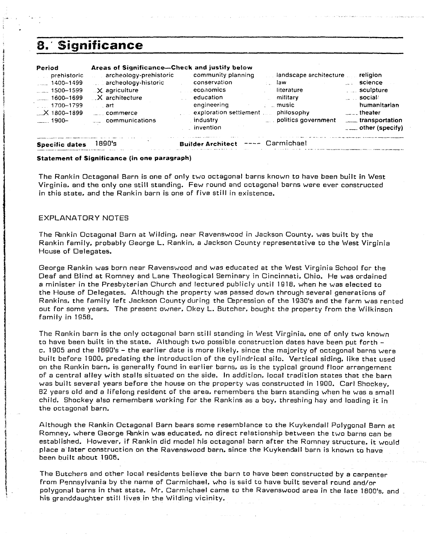### 8. Significance

| Period                  | Areas of Significance-Check and justify below | community planning       | landscape architecture       | religion                 |
|-------------------------|-----------------------------------------------|--------------------------|------------------------------|--------------------------|
| prehistoric             | archeology-prehistoric                        | conservation             | law                          | science                  |
| $\frac{1}{2}$ 1400-1499 | archeology-historic                           | economics                | $\mathcal{F}(\mathcal{F})$ . | sculpture                |
| $\sim$ 1500–1599        | <b>X</b> agriculture                          | education                | literature                   | $\sim$ $\sim$ social/    |
| $\sim$ 1600-1699        | $\mathsf{X}$ architecture                     | engineering              | military                     | humanitarian             |
| $1700 - 1799$           | art art                                       | exploration settlement   | $\equiv$ music               | $\ldots$ theater         |
| $\chi$ 1800-1899        | commerce                                      | industry                 | philosophy                   | transportation           |
| ____. 1900--            | <b>ELECOMMUNications</b>                      | invention                | politics government          | $\equiv$ other (specify) |
| <b>Specific dates</b>   | 1890's                                        | <b>Builder Architect</b> | ---- Carmichael              |                          |

#### **Statement of Significance (in one paragraph)**

The Rankin Octagonal Barn is one of only two octagonal barns known to have been built in West Virginia, and the only one still standing. Few round and octagonal barns were ever constructed in this state, and the Rankin barn is one of five still in existence.

#### EXPLANATORY NOTES

The Rankin Octagonal Barn at Wilding, near Ravenswood in Jackson County, was built by the Rankin family, probably George L. Rankin, a Jackson County representative to the West Virginia House of Delegates.

George Rankin was born near Ravenswood and was educated at the West Virginia School for the Deaf and Blind at Romney and Lane Theological Seminary in Cincinnati. Ohio. He was ordained a minister in the Presbyterian Church and lectured publicly until 1918. when he was elected to the House of Delegates. Although the property was passed down through several generations of Rankins, the family left Jackson County during the Dpression of the 1930's and the farm was rented out for some years. The present owner. Okey L. Butcher, bought the property from the Wilkinson family in 1958.

The Rankin barn is the only octagonal barn still standing in West Virginia. one of only two known to have been built in the state. Although two possible construction dates have been put forth c. 1905 and the 1090's - the earlier date is more likely. since the majority of octegonal barns were built before 1900, predating the introduction of the cylindrical silo. Vertical siding. like that used on the Rankin barn. is generally found in earlier barns, as is the typical ground floor arrangement of a central alley with stalls situated on the side. In addition. local tradition states that the barn was built several years before the house on the property was constructed in 1900. Carl Shockey, 82 years old and a lifelong resident of the area. remembers the barn standing when he was a small child. Shockey also remembers working for the Rankins as a boy. threshing hay and loading it in the octagonal barn.

Although the Rankin Octagonal Barn bears some resemblance to the Kuykendall Polygonal Barn at Romney, where George Rankin was educated, no direct relationship between the two barns can be established. However, if Rankin did model his octagonal barn after the Romney structure. it would place a later construction on the Ravenswood barn, since the Kuykendall barn is known to have been built about 1906.

The Butchers and other local residents believe the barn to have beer: constructed by a carpenter from Pennsylvania by the name of Carmichael, who is ssid to have built several round and/or polygonal barns in that state. Mr. Carmichael came to the Ravenswood area in the late 1800's, and his granddaughter still lives in the Wilding vicinity.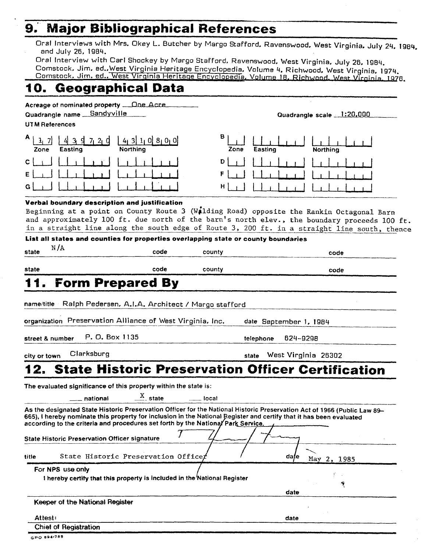#### **Major Bibliographical References** 9.

Oral Interviews with Mrs. Okey L. Butcher by Margo Stafford, Ravenswood, West Virginia, July 24, 1984, and July 26, 1984.

Oral Interview with Carl Shockey by Margo Stafford, Ravenswood, West Virginia, July 26, 1984. Comstock, Jim, ed., West Virginia Heritage Encyclopedia, Volume 4, Richwood, West Virginia, 1974. Comstock, Jim. ed., West Virginia Heritage Encyclopedia, Volume 18, Richwood, West Virginia, 1976.

## 10. Geographical Data

| Acreage of nominated property  One Acre<br>Quadrangle name __ Sandyville<br><b>UTM References</b>                                                                                                                                                                                                                                                                                           |                    | Quadrangle scale 1:20,000          |
|---------------------------------------------------------------------------------------------------------------------------------------------------------------------------------------------------------------------------------------------------------------------------------------------------------------------------------------------------------------------------------------------|--------------------|------------------------------------|
| A<br>$3 \frac{1}{2} \frac{7}{1} \frac{2}{1} \frac{1}{1}$<br>1, 7<br>$4$ 3 $1$ 0 $8$ 0 0<br>Easting<br>Northina<br>Zone                                                                                                                                                                                                                                                                      | в<br>Zone          | Easting<br>Northina                |
| С<br>G                                                                                                                                                                                                                                                                                                                                                                                      | D<br>F<br>н        |                                    |
| Verbal boundary description and justification<br>Beginning at a point on County Route 3 (Wilding Road) opposite the Rankin Octagonal Barn<br>and approximately 100 ft. due north of the barn's north elev., the boundary proceeds 100 ft.<br>in a straight line along the south edge of Route 3, 200 ft. in a straight line south, thence                                                   |                    |                                    |
| List all states and counties for properties overlapping state or county boundaries                                                                                                                                                                                                                                                                                                          |                    |                                    |
| N/A<br>code<br>state                                                                                                                                                                                                                                                                                                                                                                        | county             | code                               |
| code<br>state                                                                                                                                                                                                                                                                                                                                                                               | county             | code                               |
| Ralph Pedersen, A.I.A. Architect / Margo stafford<br>organization Preservation Alliance of West Virginia, Inc.<br>P. O. Box 1135<br>street & number                                                                                                                                                                                                                                         | telephone          | date September 1, 1984<br>624-9298 |
| Clarksburg<br>city or town                                                                                                                                                                                                                                                                                                                                                                  | state              | West Virginia 26302                |
| <b>State Historic Preservation Officer Certification</b><br>The evaluated significance of this property within the state is:<br>$\frac{X}{1}$ state<br>— national                                                                                                                                                                                                                           | <sub>—</sub> local |                                    |
| As the designated State Historic Preservation Officer for the National Historic Preservation Act of 1966 (Public Law 89-<br>665), I hereby nominate this property for inclusion in the National Register and certify that it has been evaluated<br>according to the criteria and procedures set forth by the National Park Service.<br><b>State Historic Preservation Officer signature</b> |                    |                                    |
| State Historic Preservation Officet<br>title                                                                                                                                                                                                                                                                                                                                                |                    | dafe<br>May 2, 1985                |
| For NPS use only<br>I hereby certify that this property is included in the National Register                                                                                                                                                                                                                                                                                                |                    | Ÿ.<br>传<br>date                    |
| Keeper of the National Register                                                                                                                                                                                                                                                                                                                                                             |                    |                                    |
| Attest:                                                                                                                                                                                                                                                                                                                                                                                     |                    | date                               |
| <b>Chief of Registration</b>                                                                                                                                                                                                                                                                                                                                                                |                    |                                    |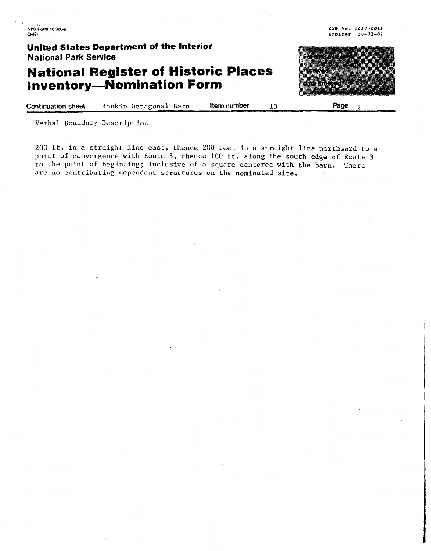. . **NPS Fm 10-Wh w-3 O'YB No. 1024-0018** 

**United States Department of the Interior <sup>A</sup>National Park Senrice** 

## **National Register of Historic Places Inventory-Nomination Form**



**Expires 10-31-87** 

**Continuation sheet Rankin Octagonal Barn Item number**  10 **Page** 2

Verbal Boundary Description

200 ft. in a straight line east, thence 200 feet in a straight line northward to a point of convergence with Route **3,** thence 100 ft. along the south edge of Route **3**  to the point of beginning; inclusive of a square centered with the barn. There are no contributing dependent structures on the nominated site.